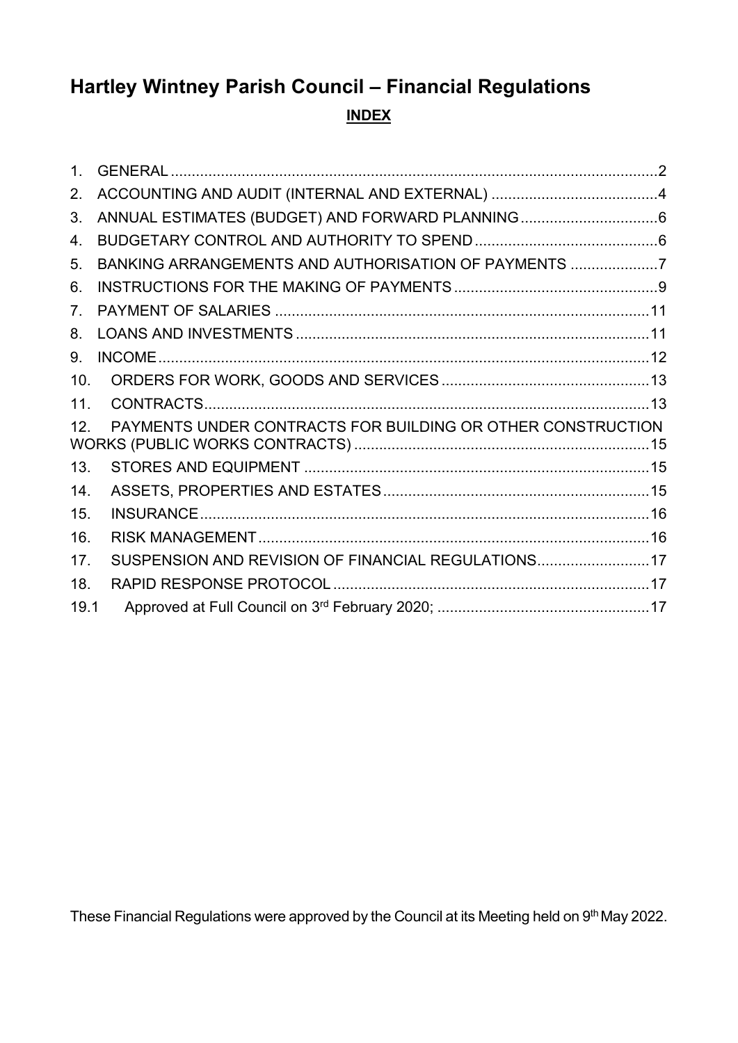# **Hartley Wintney Parish Council – Financial Regulations INDEX**

| 1 <sup>1</sup>  |                                                             |  |
|-----------------|-------------------------------------------------------------|--|
| 2.              |                                                             |  |
| 3.              |                                                             |  |
| 4.              |                                                             |  |
| 5.              | BANKING ARRANGEMENTS AND AUTHORISATION OF PAYMENTS 7        |  |
| 6.              |                                                             |  |
| 7 <sub>1</sub>  |                                                             |  |
| 8.              |                                                             |  |
| 9.              |                                                             |  |
| 10.             |                                                             |  |
| 11 <sub>1</sub> |                                                             |  |
| 12.             | PAYMENTS UNDER CONTRACTS FOR BUILDING OR OTHER CONSTRUCTION |  |
| 13.             |                                                             |  |
| 14.             |                                                             |  |
| 15.             |                                                             |  |
| 16.             |                                                             |  |
| 17.             | SUSPENSION AND REVISION OF FINANCIAL REGULATIONS 17         |  |
| 18.             |                                                             |  |
| 19.1            |                                                             |  |

These Financial Regulations were approved by the Council at its Meeting held on 9<sup>th</sup> May 2022.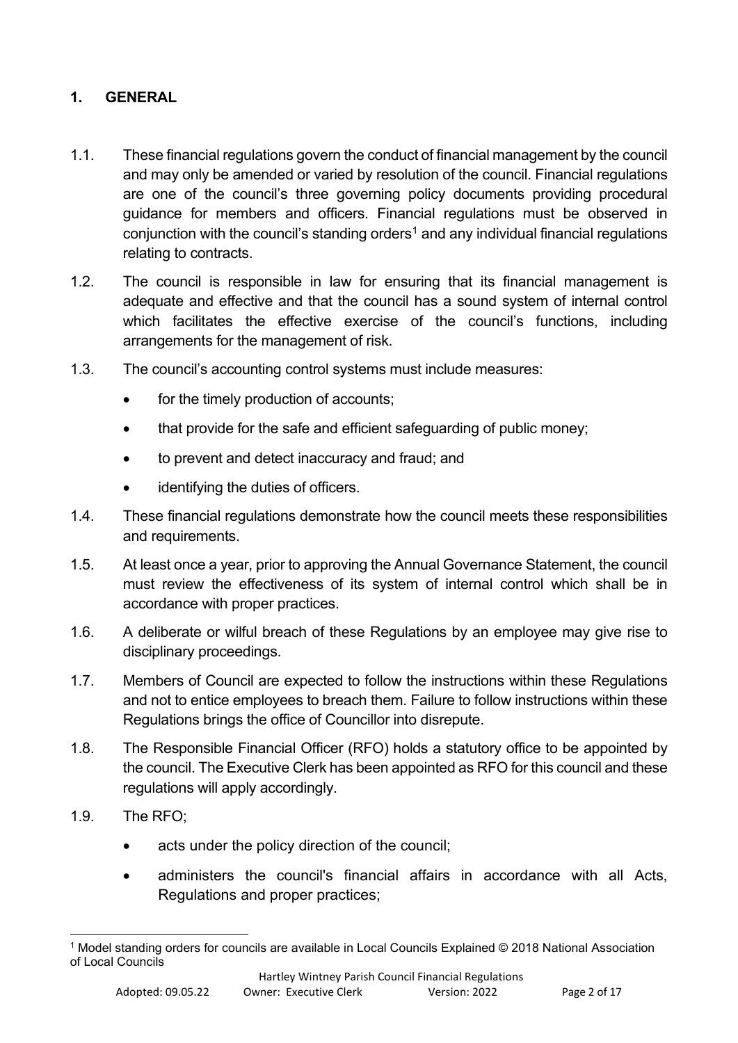## <span id="page-1-0"></span>**1. GENERAL**

- 1.1. These financial regulations govern the conduct of financial management by the council and may only be amended or varied by resolution of the council. Financial regulations are one of the council's three governing policy documents providing procedural guidance for members and officers. Financial regulations must be observed in conjunction with the council's standing orders<sup>[1](#page-1-1)</sup> and any individual financial regulations relating to contracts.
- 1.2. The council is responsible in law for ensuring that its financial management is adequate and effective and that the council has a sound system of internal control which facilitates the effective exercise of the council's functions, including arrangements for the management of risk.
- 1.3. The council's accounting control systems must include measures:
	- for the timely production of accounts;
	- that provide for the safe and efficient safeguarding of public money;
	- to prevent and detect inaccuracy and fraud; and
	- identifying the duties of officers.
- 1.4. These financial regulations demonstrate how the council meets these responsibilities and requirements.
- 1.5. At least once a year, prior to approving the Annual Governance Statement, the council must review the effectiveness of its system of internal control which shall be in accordance with proper practices.
- 1.6. A deliberate or wilful breach of these Regulations by an employee may give rise to disciplinary proceedings.
- 1.7. Members of Council are expected to follow the instructions within these Regulations and not to entice employees to breach them. Failure to follow instructions within these Regulations brings the office of Councillor into disrepute.
- 1.8. The Responsible Financial Officer (RFO) holds a statutory office to be appointed by the council. The Executive Clerk has been appointed as RFO for this council and these regulations will apply accordingly.
- 1.9. The RFO;
	- acts under the policy direction of the council:
	- administers the council's financial affairs in accordance with all Acts, Regulations and proper practices;

<span id="page-1-1"></span><sup>1</sup> Model standing orders for councils are available in Local Councils Explained © 2018 National Association of Local Councils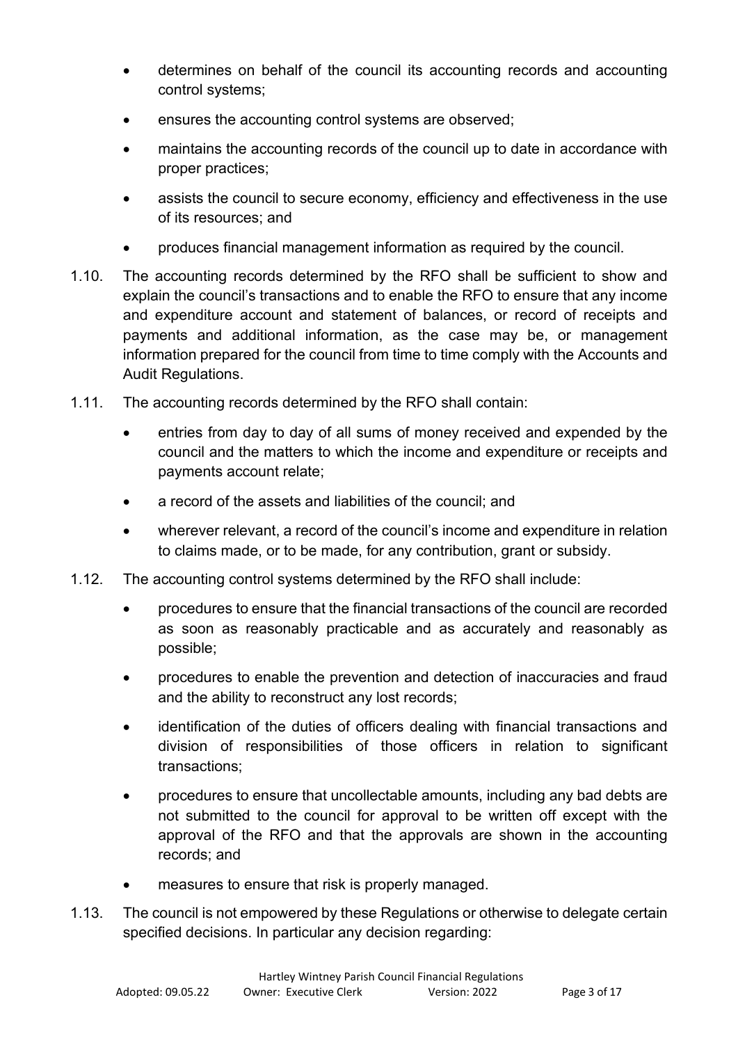- determines on behalf of the council its accounting records and accounting control systems;
- ensures the accounting control systems are observed;
- maintains the accounting records of the council up to date in accordance with proper practices;
- assists the council to secure economy, efficiency and effectiveness in the use of its resources; and
- produces financial management information as required by the council.
- 1.10. The accounting records determined by the RFO shall be sufficient to show and explain the council's transactions and to enable the RFO to ensure that any income and expenditure account and statement of balances, or record of receipts and payments and additional information, as the case may be, or management information prepared for the council from time to time comply with the Accounts and Audit Regulations.
- 1.11. The accounting records determined by the RFO shall contain:
	- entries from day to day of all sums of money received and expended by the council and the matters to which the income and expenditure or receipts and payments account relate;
	- a record of the assets and liabilities of the council; and
	- wherever relevant, a record of the council's income and expenditure in relation to claims made, or to be made, for any contribution, grant or subsidy.
- 1.12. The accounting control systems determined by the RFO shall include:
	- procedures to ensure that the financial transactions of the council are recorded as soon as reasonably practicable and as accurately and reasonably as possible;
	- procedures to enable the prevention and detection of inaccuracies and fraud and the ability to reconstruct any lost records;
	- identification of the duties of officers dealing with financial transactions and division of responsibilities of those officers in relation to significant transactions;
	- procedures to ensure that uncollectable amounts, including any bad debts are not submitted to the council for approval to be written off except with the approval of the RFO and that the approvals are shown in the accounting records; and
	- measures to ensure that risk is properly managed.
- 1.13. The council is not empowered by these Regulations or otherwise to delegate certain specified decisions. In particular any decision regarding: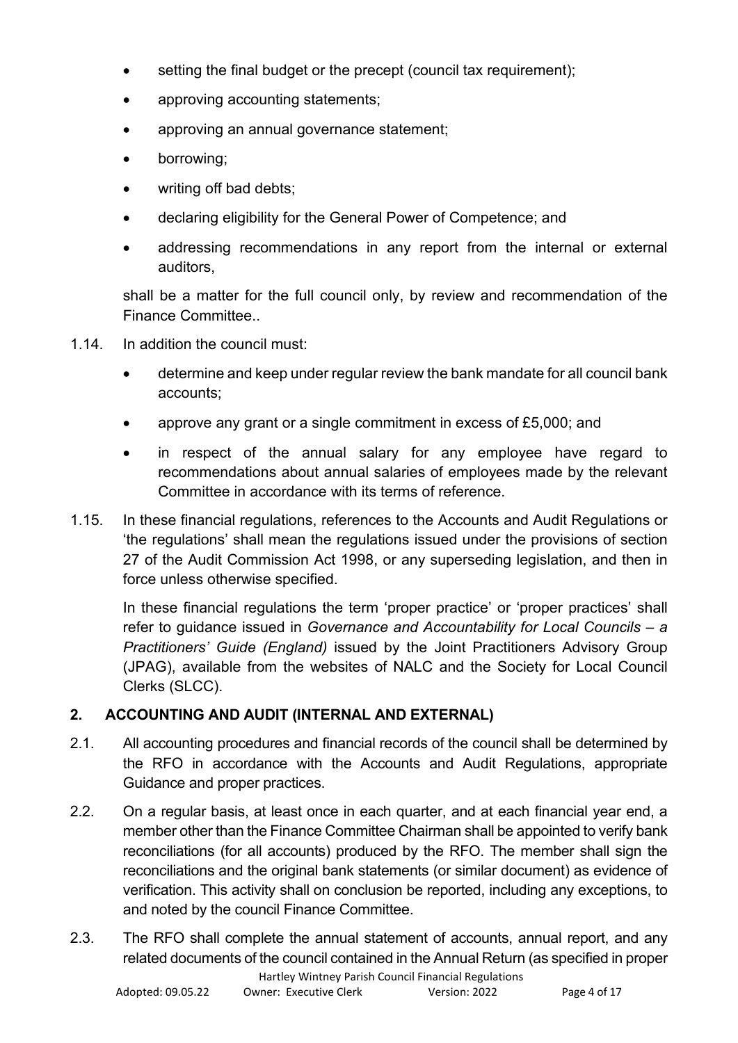- setting the final budget or the precept (council tax requirement);
- approving accounting statements;
- approving an annual governance statement;
- borrowing;
- writing off bad debts:
- declaring eligibility for the General Power of Competence; and
- addressing recommendations in any report from the internal or external auditors,

shall be a matter for the full council only, by review and recommendation of the Finance Committee..

- 1.14. In addition the council must:
	- determine and keep under regular review the bank mandate for all council bank accounts;
	- approve any grant or a single commitment in excess of £5,000; and
	- in respect of the annual salary for any employee have regard to recommendations about annual salaries of employees made by the relevant Committee in accordance with its terms of reference.
- 1.15. In these financial regulations, references to the Accounts and Audit Regulations or 'the regulations' shall mean the regulations issued under the provisions of section 27 of the Audit Commission Act 1998, or any superseding legislation, and then in force unless otherwise specified.

In these financial regulations the term 'proper practice' or 'proper practices' shall refer to guidance issued in *Governance and Accountability for Local Councils – a Practitioners' Guide (England)* issued by the Joint Practitioners Advisory Group (JPAG), available from the websites of NALC and the Society for Local Council Clerks (SLCC).

# <span id="page-3-0"></span>**2. ACCOUNTING AND AUDIT (INTERNAL AND EXTERNAL)**

- 2.1. All accounting procedures and financial records of the council shall be determined by the RFO in accordance with the Accounts and Audit Regulations, appropriate Guidance and proper practices.
- 2.2. On a regular basis, at least once in each quarter, and at each financial year end, a member other than the Finance Committee Chairman shall be appointed to verify bank reconciliations (for all accounts) produced by the RFO. The member shall sign the reconciliations and the original bank statements (or similar document) as evidence of verification. This activity shall on conclusion be reported, including any exceptions, to and noted by the council Finance Committee.
- 2.3. The RFO shall complete the annual statement of accounts, annual report, and any related documents of the council contained in the Annual Return (as specified in proper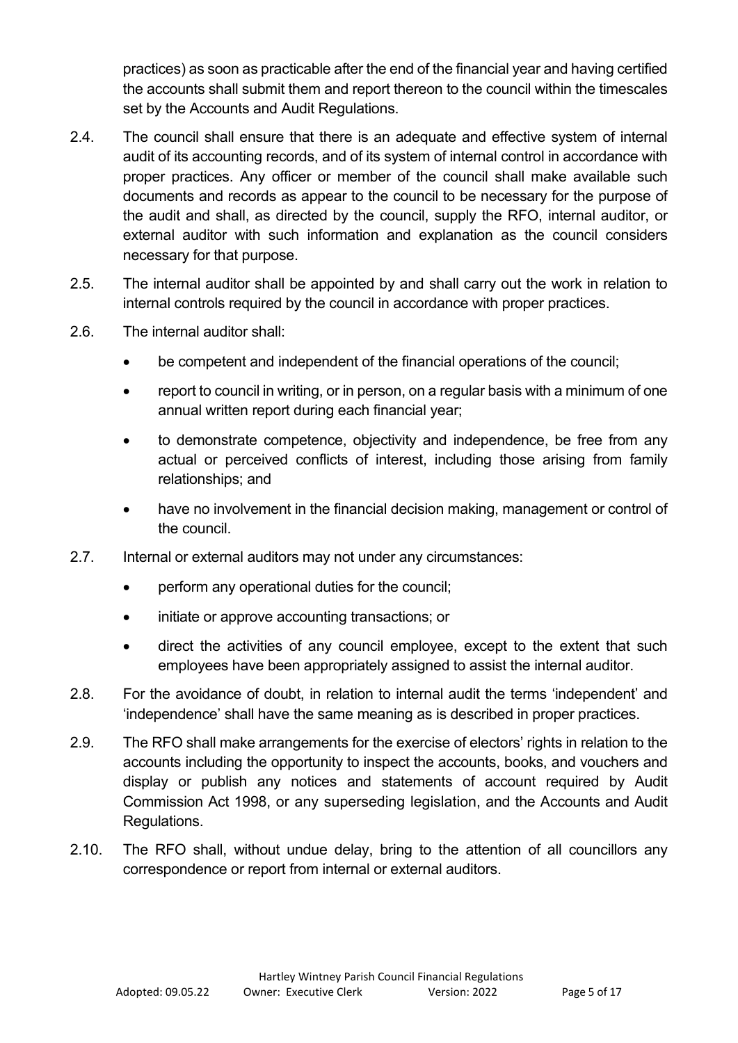practices) as soon as practicable after the end of the financial year and having certified the accounts shall submit them and report thereon to the council within the timescales set by the Accounts and Audit Regulations.

- 2.4. The council shall ensure that there is an adequate and effective system of internal audit of its accounting records, and of its system of internal control in accordance with proper practices. Any officer or member of the council shall make available such documents and records as appear to the council to be necessary for the purpose of the audit and shall, as directed by the council, supply the RFO, internal auditor, or external auditor with such information and explanation as the council considers necessary for that purpose.
- 2.5. The internal auditor shall be appointed by and shall carry out the work in relation to internal controls required by the council in accordance with proper practices.
- 2.6. The internal auditor shall:
	- be competent and independent of the financial operations of the council;
	- report to council in writing, or in person, on a regular basis with a minimum of one annual written report during each financial year;
	- to demonstrate competence, objectivity and independence, be free from any actual or perceived conflicts of interest, including those arising from family relationships; and
	- have no involvement in the financial decision making, management or control of the council.
- 2.7. Internal or external auditors may not under any circumstances:
	- perform any operational duties for the council;
	- initiate or approve accounting transactions; or
	- direct the activities of any council employee, except to the extent that such employees have been appropriately assigned to assist the internal auditor.
- 2.8. For the avoidance of doubt, in relation to internal audit the terms 'independent' and 'independence' shall have the same meaning as is described in proper practices.
- 2.9. The RFO shall make arrangements for the exercise of electors' rights in relation to the accounts including the opportunity to inspect the accounts, books, and vouchers and display or publish any notices and statements of account required by Audit Commission Act 1998, or any superseding legislation, and the Accounts and Audit Regulations.
- 2.10. The RFO shall, without undue delay, bring to the attention of all councillors any correspondence or report from internal or external auditors.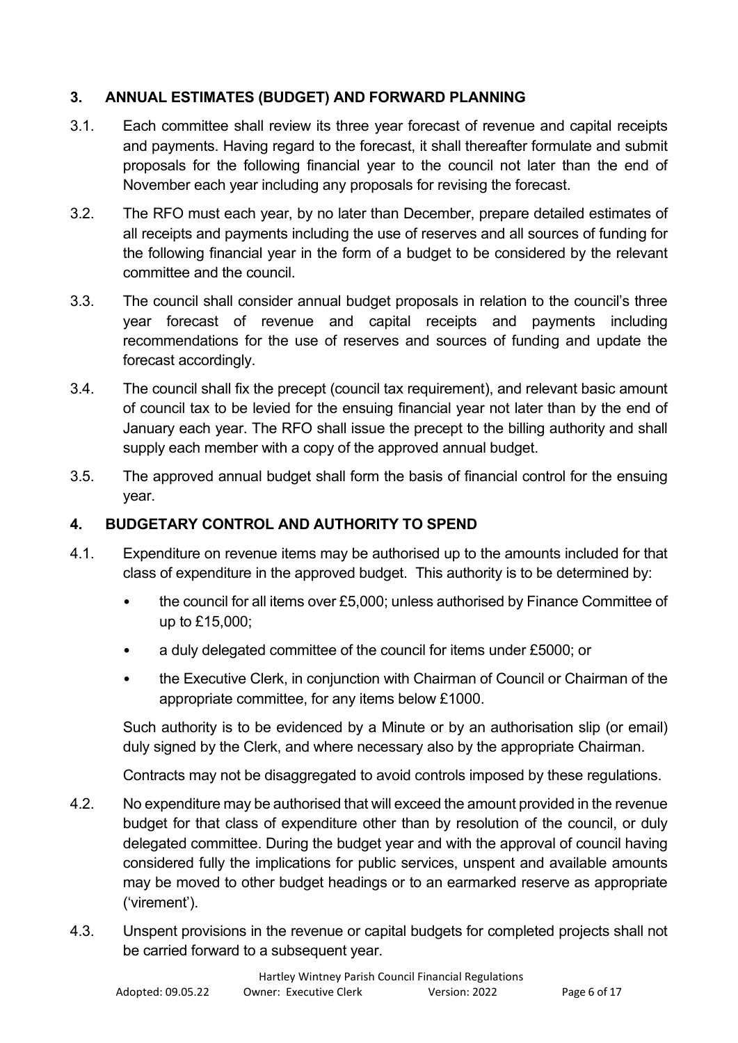## <span id="page-5-0"></span>**3. ANNUAL ESTIMATES (BUDGET) AND FORWARD PLANNING**

- 3.1. Each committee shall review its three year forecast of revenue and capital receipts and payments. Having regard to the forecast, it shall thereafter formulate and submit proposals for the following financial year to the council not later than the end of November each year including any proposals for revising the forecast.
- 3.2. The RFO must each year, by no later than December, prepare detailed estimates of all receipts and payments including the use of reserves and all sources of funding for the following financial year in the form of a budget to be considered by the relevant committee and the council.
- 3.3. The council shall consider annual budget proposals in relation to the council's three year forecast of revenue and capital receipts and payments including recommendations for the use of reserves and sources of funding and update the forecast accordingly.
- 3.4. The council shall fix the precept (council tax requirement), and relevant basic amount of council tax to be levied for the ensuing financial year not later than by the end of January each year. The RFO shall issue the precept to the billing authority and shall supply each member with a copy of the approved annual budget.
- 3.5. The approved annual budget shall form the basis of financial control for the ensuing year.

## <span id="page-5-1"></span>**4. BUDGETARY CONTROL AND AUTHORITY TO SPEND**

- 4.1. Expenditure on revenue items may be authorised up to the amounts included for that class of expenditure in the approved budget. This authority is to be determined by:
	- the council for all items over £5,000; unless authorised by Finance Committee of up to £15,000;
	- a duly delegated committee of the council for items under £5000; or
	- the Executive Clerk, in conjunction with Chairman of Council or Chairman of the appropriate committee, for any items below £1000.

Such authority is to be evidenced by a Minute or by an authorisation slip (or email) duly signed by the Clerk, and where necessary also by the appropriate Chairman.

Contracts may not be disaggregated to avoid controls imposed by these regulations.

- 4.2. No expenditure may be authorised that will exceed the amount provided in the revenue budget for that class of expenditure other than by resolution of the council, or duly delegated committee. During the budget year and with the approval of council having considered fully the implications for public services, unspent and available amounts may be moved to other budget headings or to an earmarked reserve as appropriate ('virement').
- 4.3. Unspent provisions in the revenue or capital budgets for completed projects shall not be carried forward to a subsequent year.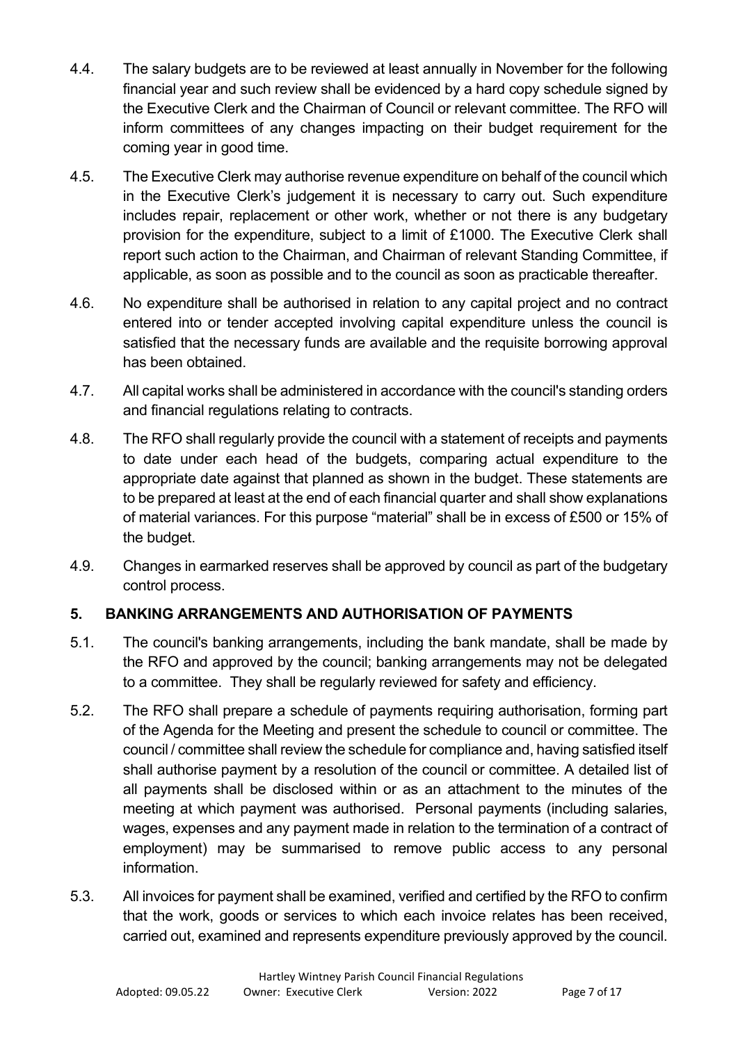- 4.4. The salary budgets are to be reviewed at least annually in November for the following financial year and such review shall be evidenced by a hard copy schedule signed by the Executive Clerk and the Chairman of Council or relevant committee. The RFO will inform committees of any changes impacting on their budget requirement for the coming year in good time.
- 4.5. The Executive Clerk may authorise revenue expenditure on behalf of the council which in the Executive Clerk's judgement it is necessary to carry out. Such expenditure includes repair, replacement or other work, whether or not there is any budgetary provision for the expenditure, subject to a limit of £1000. The Executive Clerk shall report such action to the Chairman, and Chairman of relevant Standing Committee, if applicable, as soon as possible and to the council as soon as practicable thereafter.
- 4.6. No expenditure shall be authorised in relation to any capital project and no contract entered into or tender accepted involving capital expenditure unless the council is satisfied that the necessary funds are available and the requisite borrowing approval has been obtained.
- 4.7. All capital works shall be administered in accordance with the council's standing orders and financial regulations relating to contracts.
- 4.8. The RFO shall regularly provide the council with a statement of receipts and payments to date under each head of the budgets, comparing actual expenditure to the appropriate date against that planned as shown in the budget. These statements are to be prepared at least at the end of each financial quarter and shall show explanations of material variances. For this purpose "material" shall be in excess of £500 or 15% of the budget.
- 4.9. Changes in earmarked reserves shall be approved by council as part of the budgetary control process.

# <span id="page-6-0"></span>**5. BANKING ARRANGEMENTS AND AUTHORISATION OF PAYMENTS**

- 5.1. The council's banking arrangements, including the bank mandate, shall be made by the RFO and approved by the council; banking arrangements may not be delegated to a committee. They shall be regularly reviewed for safety and efficiency.
- 5.2. The RFO shall prepare a schedule of payments requiring authorisation, forming part of the Agenda for the Meeting and present the schedule to council or committee. The council / committee shall review the schedule for compliance and, having satisfied itself shall authorise payment by a resolution of the council or committee. A detailed list of all payments shall be disclosed within or as an attachment to the minutes of the meeting at which payment was authorised. Personal payments (including salaries, wages, expenses and any payment made in relation to the termination of a contract of employment) may be summarised to remove public access to any personal information.
- 5.3. All invoices for payment shall be examined, verified and certified by the RFO to confirm that the work, goods or services to which each invoice relates has been received, carried out, examined and represents expenditure previously approved by the council.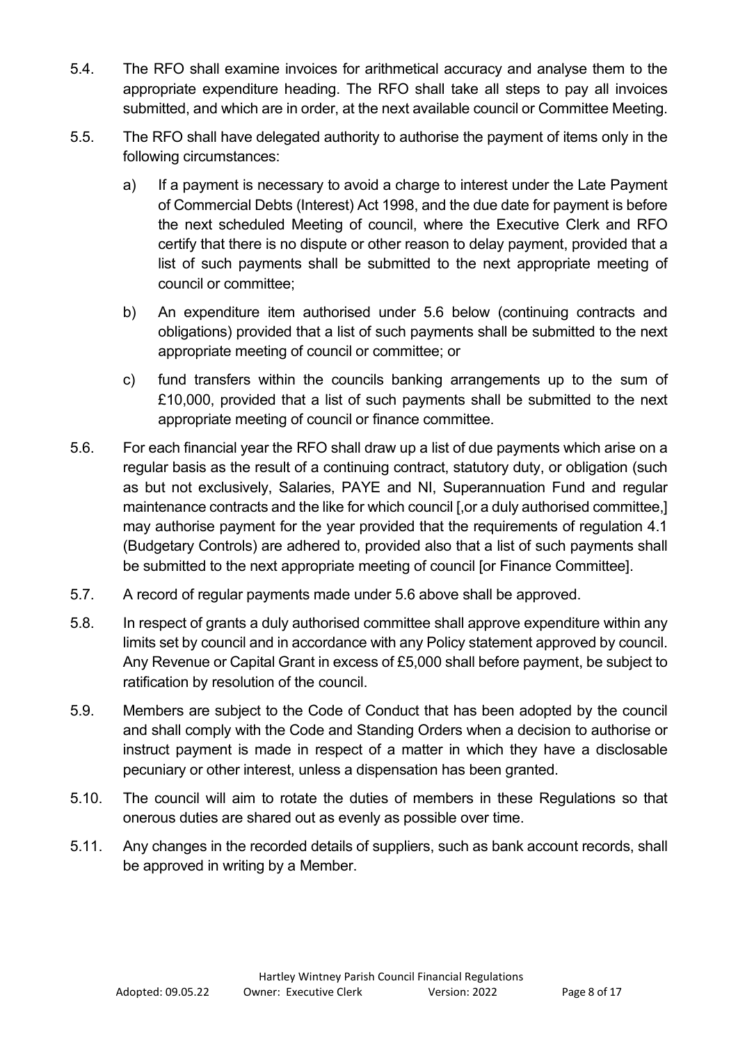- 5.4. The RFO shall examine invoices for arithmetical accuracy and analyse them to the appropriate expenditure heading. The RFO shall take all steps to pay all invoices submitted, and which are in order, at the next available council or Committee Meeting.
- 5.5. The RFO shall have delegated authority to authorise the payment of items only in the following circumstances:
	- a) If a payment is necessary to avoid a charge to interest under the Late Payment of Commercial Debts (Interest) Act 1998, and the due date for payment is before the next scheduled Meeting of council, where the Executive Clerk and RFO certify that there is no dispute or other reason to delay payment, provided that a list of such payments shall be submitted to the next appropriate meeting of council or committee;
	- b) An expenditure item authorised under 5.6 below (continuing contracts and obligations) provided that a list of such payments shall be submitted to the next appropriate meeting of council or committee; or
	- c) fund transfers within the councils banking arrangements up to the sum of £10,000, provided that a list of such payments shall be submitted to the next appropriate meeting of council or finance committee.
- 5.6. For each financial year the RFO shall draw up a list of due payments which arise on a regular basis as the result of a continuing contract, statutory duty, or obligation (such as but not exclusively, Salaries, PAYE and NI, Superannuation Fund and regular maintenance contracts and the like for which council [,or a duly authorised committee,] may authorise payment for the year provided that the requirements of regulation 4.1 (Budgetary Controls) are adhered to, provided also that a list of such payments shall be submitted to the next appropriate meeting of council [or Finance Committee].
- 5.7. A record of regular payments made under 5.6 above shall be approved.
- 5.8. In respect of grants a duly authorised committee shall approve expenditure within any limits set by council and in accordance with any Policy statement approved by council. Any Revenue or Capital Grant in excess of £5,000 shall before payment, be subject to ratification by resolution of the council.
- 5.9. Members are subject to the Code of Conduct that has been adopted by the council and shall comply with the Code and Standing Orders when a decision to authorise or instruct payment is made in respect of a matter in which they have a disclosable pecuniary or other interest, unless a dispensation has been granted.
- 5.10. The council will aim to rotate the duties of members in these Regulations so that onerous duties are shared out as evenly as possible over time.
- 5.11. Any changes in the recorded details of suppliers, such as bank account records, shall be approved in writing by a Member.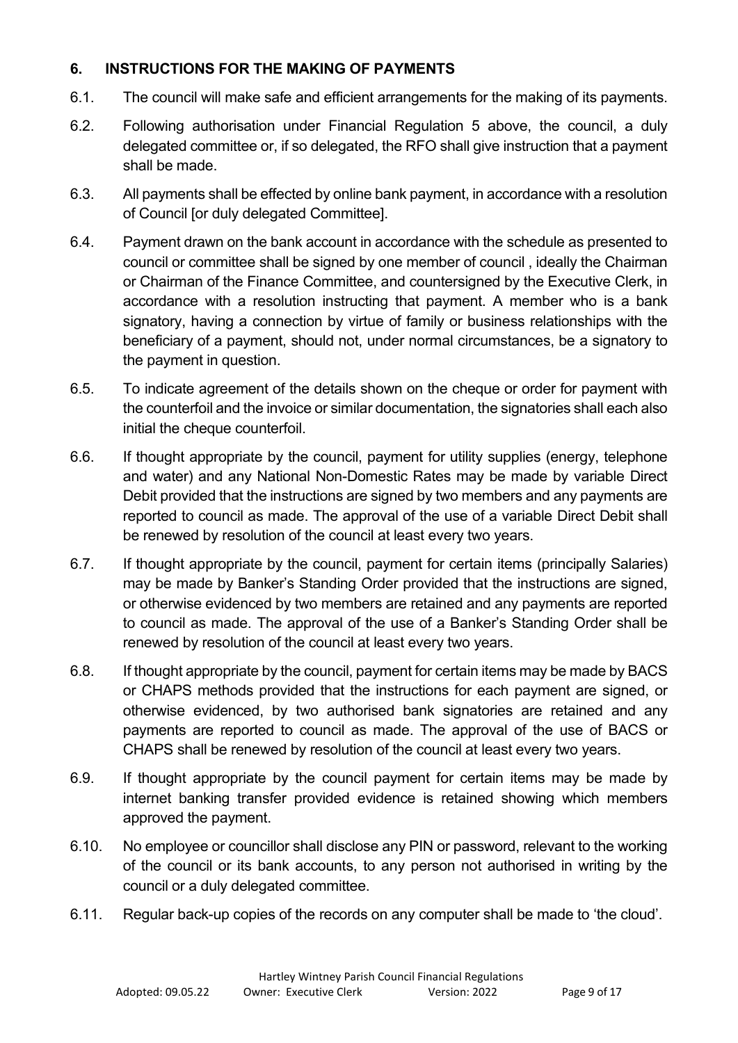## <span id="page-8-0"></span>**6. INSTRUCTIONS FOR THE MAKING OF PAYMENTS**

- 6.1. The council will make safe and efficient arrangements for the making of its payments.
- 6.2. Following authorisation under Financial Regulation 5 above, the council, a duly delegated committee or, if so delegated, the RFO shall give instruction that a payment shall be made.
- 6.3. All payments shall be effected by online bank payment, in accordance with a resolution of Council [or duly delegated Committee].
- 6.4. Payment drawn on the bank account in accordance with the schedule as presented to council or committee shall be signed by one member of council , ideally the Chairman or Chairman of the Finance Committee, and countersigned by the Executive Clerk, in accordance with a resolution instructing that payment. A member who is a bank signatory, having a connection by virtue of family or business relationships with the beneficiary of a payment, should not, under normal circumstances, be a signatory to the payment in question.
- 6.5. To indicate agreement of the details shown on the cheque or order for payment with the counterfoil and the invoice or similar documentation, the signatories shall each also initial the cheque counterfoil.
- 6.6. If thought appropriate by the council, payment for utility supplies (energy, telephone and water) and any National Non-Domestic Rates may be made by variable Direct Debit provided that the instructions are signed by two members and any payments are reported to council as made. The approval of the use of a variable Direct Debit shall be renewed by resolution of the council at least every two years.
- 6.7. If thought appropriate by the council, payment for certain items (principally Salaries) may be made by Banker's Standing Order provided that the instructions are signed, or otherwise evidenced by two members are retained and any payments are reported to council as made. The approval of the use of a Banker's Standing Order shall be renewed by resolution of the council at least every two years.
- 6.8. If thought appropriate by the council, payment for certain items may be made by BACS or CHAPS methods provided that the instructions for each payment are signed, or otherwise evidenced, by two authorised bank signatories are retained and any payments are reported to council as made. The approval of the use of BACS or CHAPS shall be renewed by resolution of the council at least every two years.
- 6.9. If thought appropriate by the council payment for certain items may be made by internet banking transfer provided evidence is retained showing which members approved the payment.
- 6.10. No employee or councillor shall disclose any PIN or password, relevant to the working of the council or its bank accounts, to any person not authorised in writing by the council or a duly delegated committee.
- 6.11. Regular back-up copies of the records on any computer shall be made to 'the cloud'.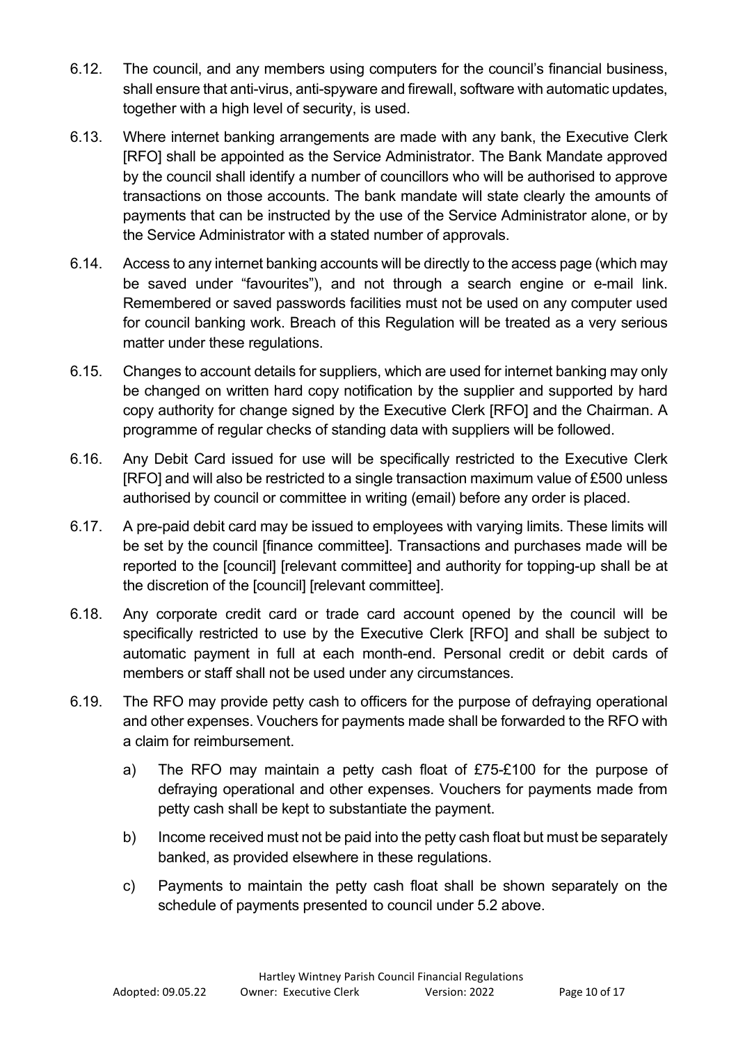- 6.12. The council, and any members using computers for the council's financial business, shall ensure that anti-virus, anti-spyware and firewall, software with automatic updates, together with a high level of security, is used.
- 6.13. Where internet banking arrangements are made with any bank, the Executive Clerk [RFO] shall be appointed as the Service Administrator. The Bank Mandate approved by the council shall identify a number of councillors who will be authorised to approve transactions on those accounts. The bank mandate will state clearly the amounts of payments that can be instructed by the use of the Service Administrator alone, or by the Service Administrator with a stated number of approvals.
- 6.14. Access to any internet banking accounts will be directly to the access page (which may be saved under "favourites"), and not through a search engine or e-mail link. Remembered or saved passwords facilities must not be used on any computer used for council banking work. Breach of this Regulation will be treated as a very serious matter under these regulations.
- 6.15. Changes to account details for suppliers, which are used for internet banking may only be changed on written hard copy notification by the supplier and supported by hard copy authority for change signed by the Executive Clerk [RFO] and the Chairman. A programme of regular checks of standing data with suppliers will be followed.
- 6.16. Any Debit Card issued for use will be specifically restricted to the Executive Clerk [RFO] and will also be restricted to a single transaction maximum value of £500 unless authorised by council or committee in writing (email) before any order is placed.
- 6.17. A pre-paid debit card may be issued to employees with varying limits. These limits will be set by the council [finance committee]. Transactions and purchases made will be reported to the [council] [relevant committee] and authority for topping-up shall be at the discretion of the [council] [relevant committee].
- 6.18. Any corporate credit card or trade card account opened by the council will be specifically restricted to use by the Executive Clerk [RFO] and shall be subject to automatic payment in full at each month-end. Personal credit or debit cards of members or staff shall not be used under any circumstances.
- 6.19. The RFO may provide petty cash to officers for the purpose of defraying operational and other expenses. Vouchers for payments made shall be forwarded to the RFO with a claim for reimbursement.
	- a) The RFO may maintain a petty cash float of £75-£100 for the purpose of defraying operational and other expenses. Vouchers for payments made from petty cash shall be kept to substantiate the payment.
	- b) Income received must not be paid into the petty cash float but must be separately banked, as provided elsewhere in these regulations.
	- c) Payments to maintain the petty cash float shall be shown separately on the schedule of payments presented to council under 5.2 above.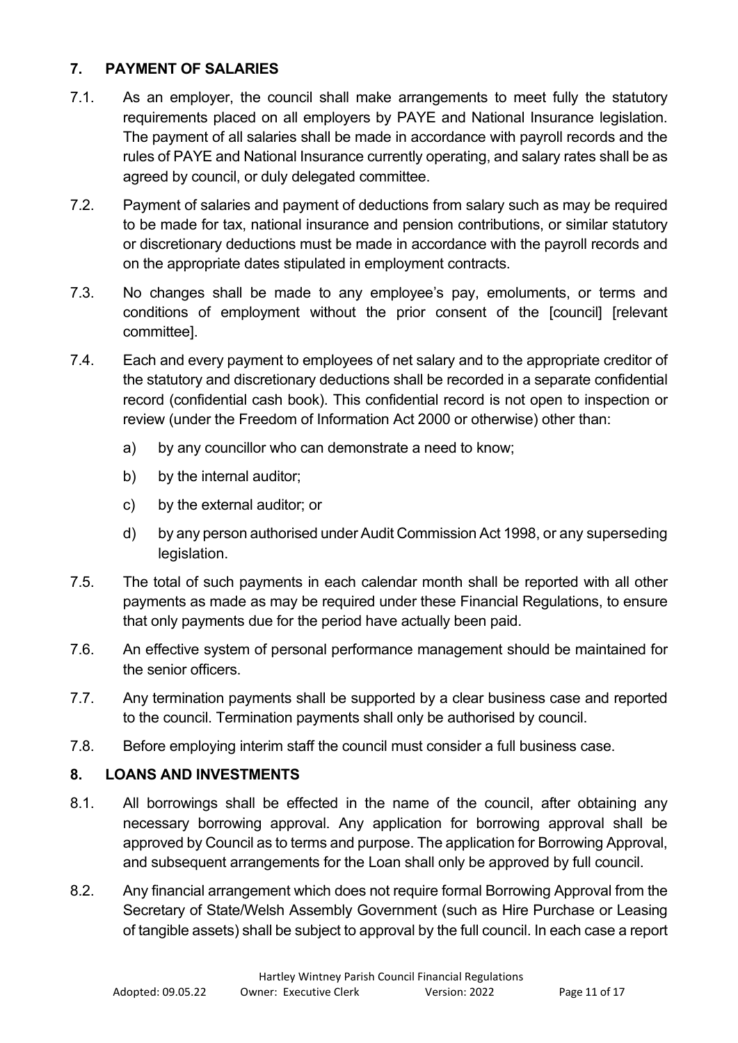## <span id="page-10-0"></span>**7. PAYMENT OF SALARIES**

- 7.1. As an employer, the council shall make arrangements to meet fully the statutory requirements placed on all employers by PAYE and National Insurance legislation. The payment of all salaries shall be made in accordance with payroll records and the rules of PAYE and National Insurance currently operating, and salary rates shall be as agreed by council, or duly delegated committee.
- 7.2. Payment of salaries and payment of deductions from salary such as may be required to be made for tax, national insurance and pension contributions, or similar statutory or discretionary deductions must be made in accordance with the payroll records and on the appropriate dates stipulated in employment contracts.
- 7.3. No changes shall be made to any employee's pay, emoluments, or terms and conditions of employment without the prior consent of the [council] [relevant committee].
- 7.4. Each and every payment to employees of net salary and to the appropriate creditor of the statutory and discretionary deductions shall be recorded in a separate confidential record (confidential cash book). This confidential record is not open to inspection or review (under the Freedom of Information Act 2000 or otherwise) other than:
	- a) by any councillor who can demonstrate a need to know;
	- b) by the internal auditor;
	- c) by the external auditor; or
	- d) by any person authorised under Audit Commission Act 1998, or any superseding legislation.
- 7.5. The total of such payments in each calendar month shall be reported with all other payments as made as may be required under these Financial Regulations, to ensure that only payments due for the period have actually been paid.
- 7.6. An effective system of personal performance management should be maintained for the senior officers.
- 7.7. Any termination payments shall be supported by a clear business case and reported to the council. Termination payments shall only be authorised by council.
- 7.8. Before employing interim staff the council must consider a full business case.

## <span id="page-10-1"></span>**8. LOANS AND INVESTMENTS**

- 8.1. All borrowings shall be effected in the name of the council, after obtaining any necessary borrowing approval. Any application for borrowing approval shall be approved by Council as to terms and purpose. The application for Borrowing Approval, and subsequent arrangements for the Loan shall only be approved by full council.
- 8.2. Any financial arrangement which does not require formal Borrowing Approval from the Secretary of State/Welsh Assembly Government (such as Hire Purchase or Leasing of tangible assets) shall be subject to approval by the full council. In each case a report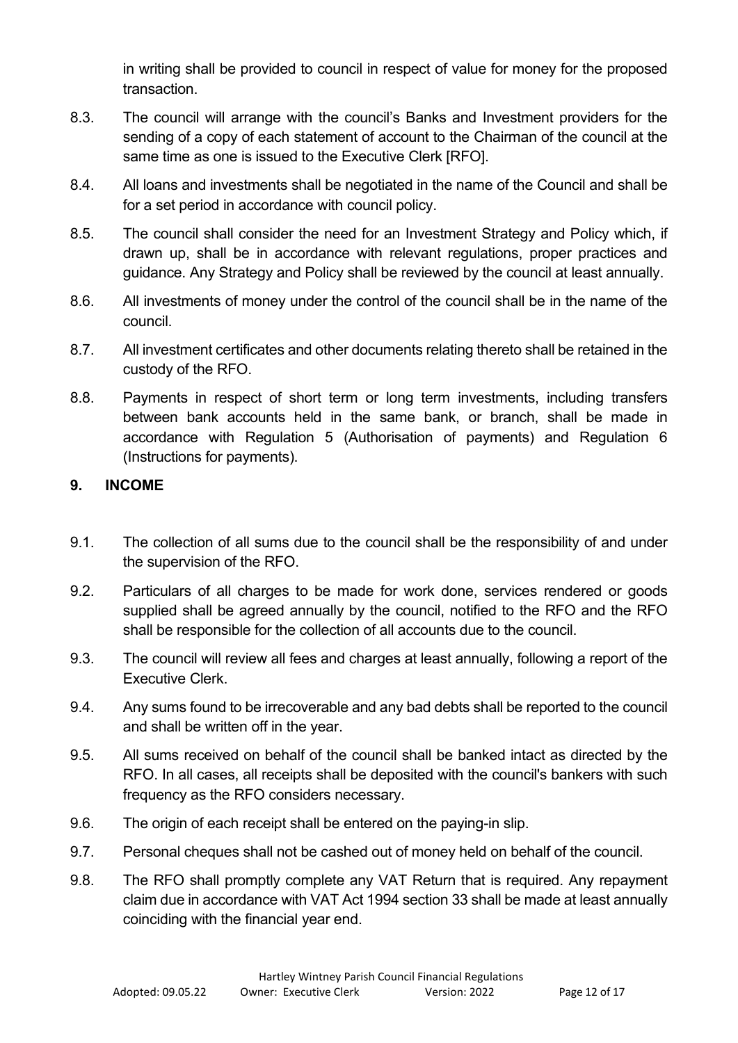in writing shall be provided to council in respect of value for money for the proposed transaction.

- 8.3. The council will arrange with the council's Banks and Investment providers for the sending of a copy of each statement of account to the Chairman of the council at the same time as one is issued to the Executive Clerk [RFO].
- 8.4. All loans and investments shall be negotiated in the name of the Council and shall be for a set period in accordance with council policy.
- 8.5. The council shall consider the need for an Investment Strategy and Policy which, if drawn up, shall be in accordance with relevant regulations, proper practices and guidance. Any Strategy and Policy shall be reviewed by the council at least annually.
- 8.6. All investments of money under the control of the council shall be in the name of the council.
- 8.7. All investment certificates and other documents relating thereto shall be retained in the custody of the RFO.
- 8.8. Payments in respect of short term or long term investments, including transfers between bank accounts held in the same bank, or branch, shall be made in accordance with Regulation 5 (Authorisation of payments) and Regulation 6 (Instructions for payments).

## <span id="page-11-0"></span>**9. INCOME**

- 9.1. The collection of all sums due to the council shall be the responsibility of and under the supervision of the RFO.
- 9.2. Particulars of all charges to be made for work done, services rendered or goods supplied shall be agreed annually by the council, notified to the RFO and the RFO shall be responsible for the collection of all accounts due to the council.
- 9.3. The council will review all fees and charges at least annually, following a report of the Executive Clerk.
- 9.4. Any sums found to be irrecoverable and any bad debts shall be reported to the council and shall be written off in the year.
- 9.5. All sums received on behalf of the council shall be banked intact as directed by the RFO. In all cases, all receipts shall be deposited with the council's bankers with such frequency as the RFO considers necessary.
- 9.6. The origin of each receipt shall be entered on the paying-in slip.
- 9.7. Personal cheques shall not be cashed out of money held on behalf of the council.
- 9.8. The RFO shall promptly complete any VAT Return that is required. Any repayment claim due in accordance with VAT Act 1994 section 33 shall be made at least annually coinciding with the financial year end.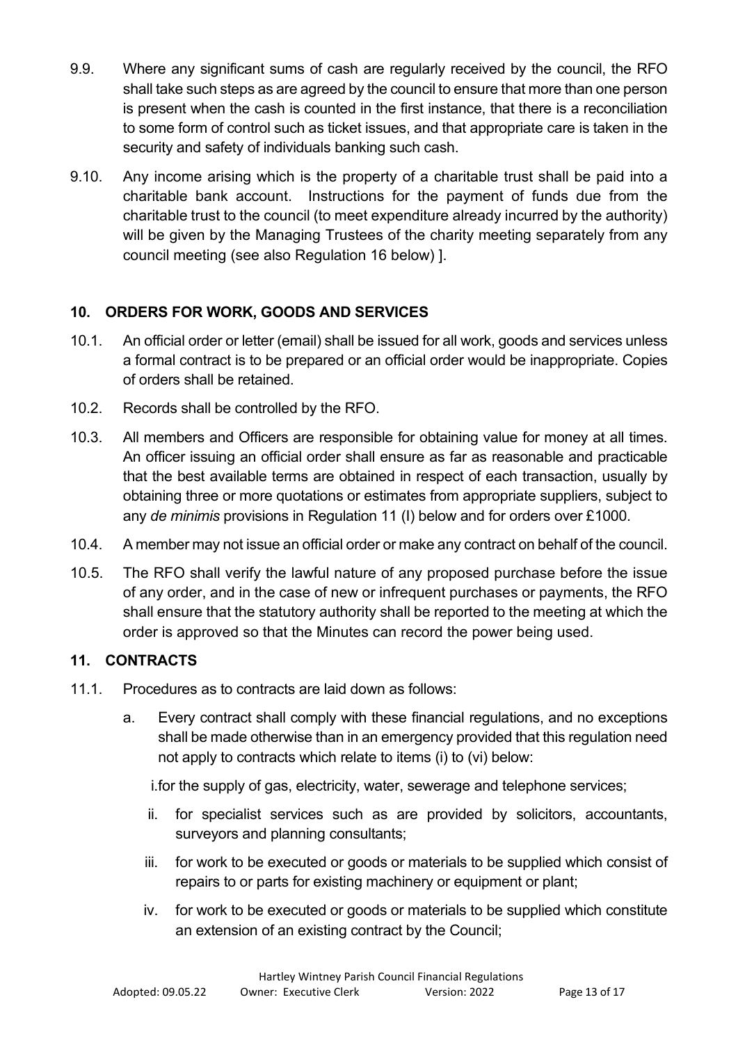- 9.9. Where any significant sums of cash are regularly received by the council, the RFO shall take such steps as are agreed by the council to ensure that more than one person is present when the cash is counted in the first instance, that there is a reconciliation to some form of control such as ticket issues, and that appropriate care is taken in the security and safety of individuals banking such cash.
- 9.10. Any income arising which is the property of a charitable trust shall be paid into a charitable bank account. Instructions for the payment of funds due from the charitable trust to the council (to meet expenditure already incurred by the authority) will be given by the Managing Trustees of the charity meeting separately from any council meeting (see also Regulation 16 below) ].

# <span id="page-12-0"></span>**10. ORDERS FOR WORK, GOODS AND SERVICES**

- 10.1. An official order or letter (email) shall be issued for all work, goods and services unless a formal contract is to be prepared or an official order would be inappropriate. Copies of orders shall be retained.
- 10.2. Records shall be controlled by the RFO.
- 10.3. All members and Officers are responsible for obtaining value for money at all times. An officer issuing an official order shall ensure as far as reasonable and practicable that the best available terms are obtained in respect of each transaction, usually by obtaining three or more quotations or estimates from appropriate suppliers, subject to any *de minimis* provisions in Regulation 11 (I) below and for orders over £1000.
- 10.4. A member may not issue an official order or make any contract on behalf of the council.
- 10.5. The RFO shall verify the lawful nature of any proposed purchase before the issue of any order, and in the case of new or infrequent purchases or payments, the RFO shall ensure that the statutory authority shall be reported to the meeting at which the order is approved so that the Minutes can record the power being used.

# <span id="page-12-1"></span>**11. CONTRACTS**

- 11.1. Procedures as to contracts are laid down as follows:
	- a. Every contract shall comply with these financial regulations, and no exceptions shall be made otherwise than in an emergency provided that this regulation need not apply to contracts which relate to items (i) to (vi) below:

i.for the supply of gas, electricity, water, sewerage and telephone services;

- ii. for specialist services such as are provided by solicitors, accountants, surveyors and planning consultants;
- iii. for work to be executed or goods or materials to be supplied which consist of repairs to or parts for existing machinery or equipment or plant;
- iv. for work to be executed or goods or materials to be supplied which constitute an extension of an existing contract by the Council;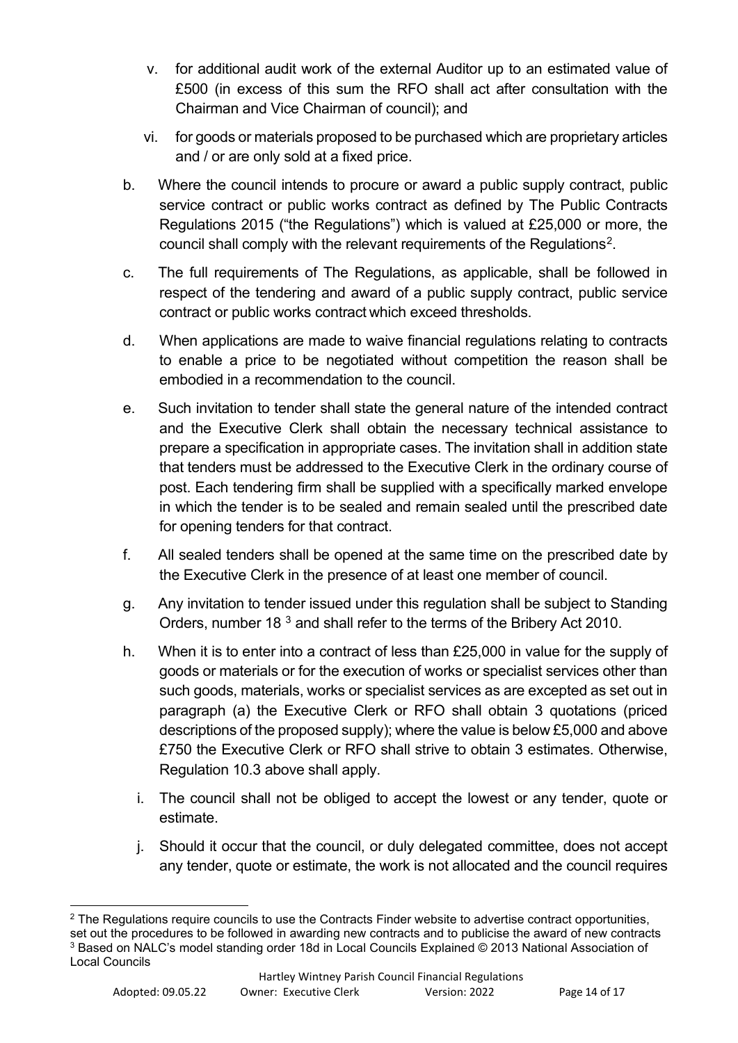- v. for additional audit work of the external Auditor up to an estimated value of £500 (in excess of this sum the RFO shall act after consultation with the Chairman and Vice Chairman of council); and
- vi. for goods or materials proposed to be purchased which are proprietary articles and / or are only sold at a fixed price.
- b. Where the council intends to procure or award a public supply contract, public service contract or public works contract as defined by The Public Contracts Regulations 2015 ("the Regulations") which is valued at £25,000 or more, the council shall comply with the relevant requirements of the Regulations<sup>[2](#page-13-0)</sup>.
- c. The full requirements of The Regulations, as applicable, shall be followed in respect of the tendering and award of a public supply contract, public service contract or public works contract which exceed thresholds.
- d. When applications are made to waive financial regulations relating to contracts to enable a price to be negotiated without competition the reason shall be embodied in a recommendation to the council.
- e. Such invitation to tender shall state the general nature of the intended contract and the Executive Clerk shall obtain the necessary technical assistance to prepare a specification in appropriate cases. The invitation shall in addition state that tenders must be addressed to the Executive Clerk in the ordinary course of post. Each tendering firm shall be supplied with a specifically marked envelope in which the tender is to be sealed and remain sealed until the prescribed date for opening tenders for that contract.
- f. All sealed tenders shall be opened at the same time on the prescribed date by the Executive Clerk in the presence of at least one member of council.
- g. Any invitation to tender issued under this regulation shall be subject to Standing Orders, number 18 [3](#page-13-1) and shall refer to the terms of the Bribery Act 2010.
- h. When it is to enter into a contract of less than £25,000 in value for the supply of goods or materials or for the execution of works or specialist services other than such goods, materials, works or specialist services as are excepted as set out in paragraph (a) the Executive Clerk or RFO shall obtain 3 quotations (priced descriptions of the proposed supply); where the value is below £5,000 and above £750 the Executive Clerk or RFO shall strive to obtain 3 estimates. Otherwise, Regulation 10.3 above shall apply.
	- i. The council shall not be obliged to accept the lowest or any tender, quote or estimate.
	- j. Should it occur that the council, or duly delegated committee, does not accept any tender, quote or estimate, the work is not allocated and the council requires

<span id="page-13-1"></span><span id="page-13-0"></span><sup>&</sup>lt;sup>2</sup> The Regulations require councils to use the Contracts Finder website to advertise contract opportunities, set out the procedures to be followed in awarding new contracts and to publicise the award of new contracts <sup>3</sup> Based on NALC's model standing order 18d in Local Councils Explained © 2013 National Association of Local Councils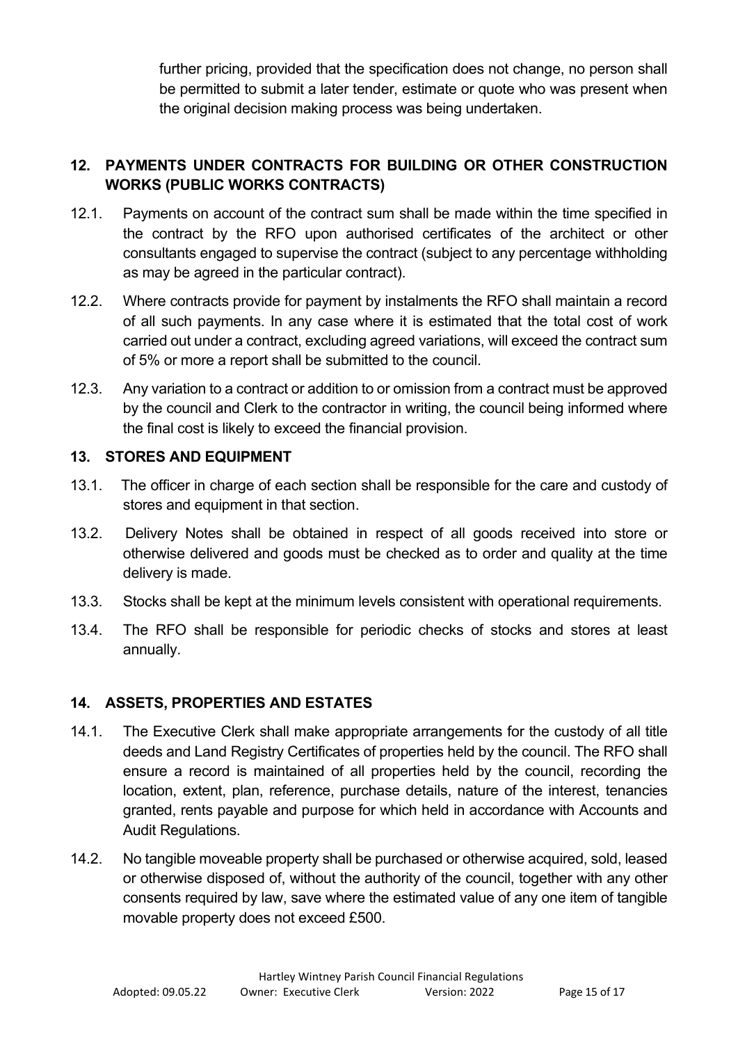further pricing, provided that the specification does not change, no person shall be permitted to submit a later tender, estimate or quote who was present when the original decision making process was being undertaken.

# <span id="page-14-0"></span>**12. PAYMENTS UNDER CONTRACTS FOR BUILDING OR OTHER CONSTRUCTION WORKS (PUBLIC WORKS CONTRACTS)**

- 12.1. Payments on account of the contract sum shall be made within the time specified in the contract by the RFO upon authorised certificates of the architect or other consultants engaged to supervise the contract (subject to any percentage withholding as may be agreed in the particular contract).
- 12.2. Where contracts provide for payment by instalments the RFO shall maintain a record of all such payments. In any case where it is estimated that the total cost of work carried out under a contract, excluding agreed variations, will exceed the contract sum of 5% or more a report shall be submitted to the council.
- 12.3. Any variation to a contract or addition to or omission from a contract must be approved by the council and Clerk to the contractor in writing, the council being informed where the final cost is likely to exceed the financial provision.

## <span id="page-14-1"></span>**13. STORES AND EQUIPMENT**

- 13.1. The officer in charge of each section shall be responsible for the care and custody of stores and equipment in that section.
- 13.2. Delivery Notes shall be obtained in respect of all goods received into store or otherwise delivered and goods must be checked as to order and quality at the time delivery is made.
- 13.3. Stocks shall be kept at the minimum levels consistent with operational requirements.
- 13.4. The RFO shall be responsible for periodic checks of stocks and stores at least annually.

## <span id="page-14-2"></span>**14. ASSETS, PROPERTIES AND ESTATES**

- 14.1. The Executive Clerk shall make appropriate arrangements for the custody of all title deeds and Land Registry Certificates of properties held by the council. The RFO shall ensure a record is maintained of all properties held by the council, recording the location, extent, plan, reference, purchase details, nature of the interest, tenancies granted, rents payable and purpose for which held in accordance with Accounts and Audit Regulations.
- 14.2. No tangible moveable property shall be purchased or otherwise acquired, sold, leased or otherwise disposed of, without the authority of the council, together with any other consents required by law, save where the estimated value of any one item of tangible movable property does not exceed £500.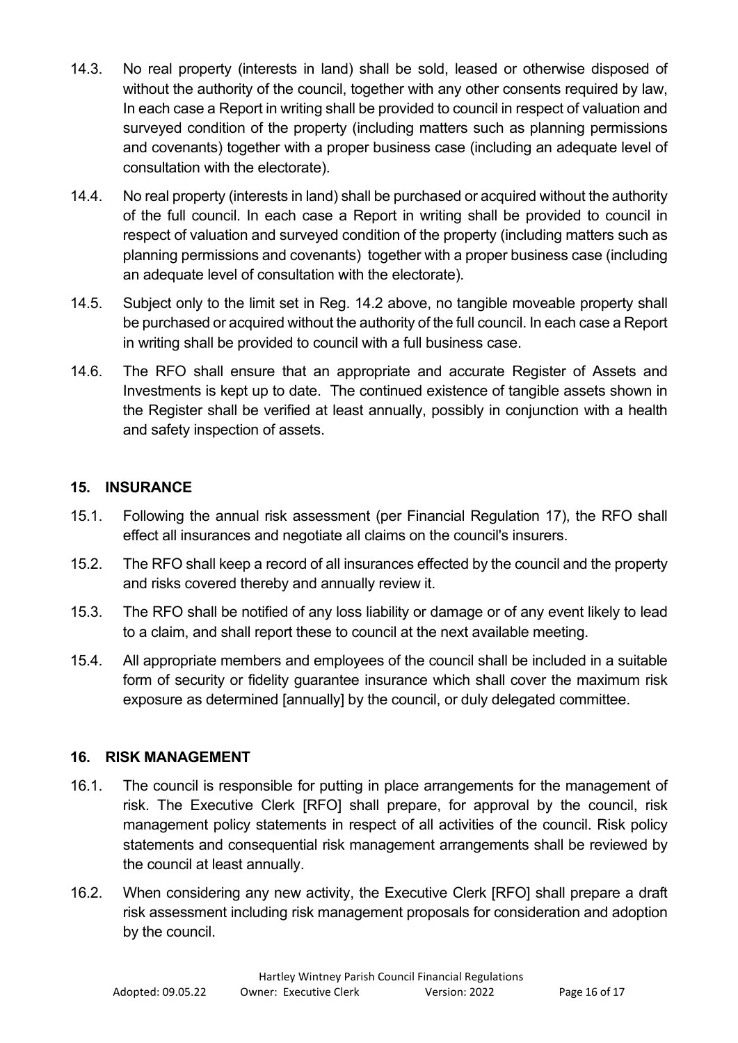- 14.3. No real property (interests in land) shall be sold, leased or otherwise disposed of without the authority of the council, together with any other consents required by law, In each case a Report in writing shall be provided to council in respect of valuation and surveyed condition of the property (including matters such as planning permissions and covenants) together with a proper business case (including an adequate level of consultation with the electorate).
- 14.4. No real property (interests in land) shall be purchased or acquired without the authority of the full council. In each case a Report in writing shall be provided to council in respect of valuation and surveyed condition of the property (including matters such as planning permissions and covenants) together with a proper business case (including an adequate level of consultation with the electorate).
- 14.5. Subject only to the limit set in Reg. 14.2 above, no tangible moveable property shall be purchased or acquired without the authority of the full council. In each case a Report in writing shall be provided to council with a full business case.
- 14.6. The RFO shall ensure that an appropriate and accurate Register of Assets and Investments is kept up to date. The continued existence of tangible assets shown in the Register shall be verified at least annually, possibly in conjunction with a health and safety inspection of assets.

## <span id="page-15-0"></span>**15. INSURANCE**

- 15.1. Following the annual risk assessment (per Financial Regulation 17), the RFO shall effect all insurances and negotiate all claims on the council's insurers.
- 15.2. The RFO shall keep a record of all insurances effected by the council and the property and risks covered thereby and annually review it.
- 15.3. The RFO shall be notified of any loss liability or damage or of any event likely to lead to a claim, and shall report these to council at the next available meeting.
- 15.4. All appropriate members and employees of the council shall be included in a suitable form of security or fidelity guarantee insurance which shall cover the maximum risk exposure as determined [annually] by the council, or duly delegated committee.

## <span id="page-15-1"></span>**16. RISK MANAGEMENT**

- 16.1. The council is responsible for putting in place arrangements for the management of risk. The Executive Clerk [RFO] shall prepare, for approval by the council, risk management policy statements in respect of all activities of the council. Risk policy statements and consequential risk management arrangements shall be reviewed by the council at least annually.
- 16.2. When considering any new activity, the Executive Clerk [RFO] shall prepare a draft risk assessment including risk management proposals for consideration and adoption by the council.